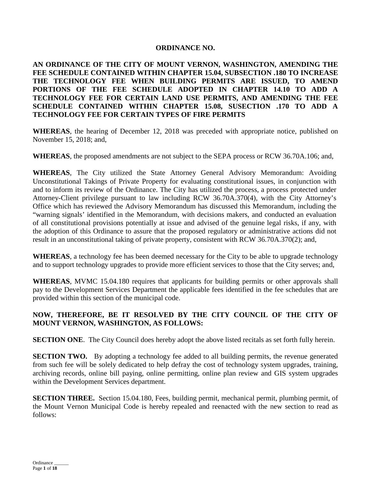# **ORDINANCE NO.**

**AN ORDINANCE OF THE CITY OF MOUNT VERNON, WASHINGTON, AMENDING THE FEE SCHEDULE CONTAINED WITHIN CHAPTER 15.04, SUBSECTION .180 TO INCREASE THE TECHNOLOGY FEE WHEN BUILDING PERMITS ARE ISSUED, TO AMEND PORTIONS OF THE FEE SCHEDULE ADOPTED IN CHAPTER 14.10 TO ADD A TECHNOLOGY FEE FOR CERTAIN LAND USE PERMITS, AND AMENDING THE FEE SCHEDULE CONTAINED WITHIN CHAPTER 15.08, SUSECTION .170 TO ADD A TECHNOLOGY FEE FOR CERTAIN TYPES OF FIRE PERMITS**

**WHEREAS**, the hearing of December 12, 2018 was preceded with appropriate notice, published on November 15, 2018; and,

**WHEREAS**, the proposed amendments are not subject to the SEPA process or RCW 36.70A.106; and,

**WHEREAS**, The City utilized the State Attorney General Advisory Memorandum: Avoiding Unconstitutional Takings of Private Property for evaluating constitutional issues, in conjunction with and to inform its review of the Ordinance. The City has utilized the process, a process protected under Attorney-Client privilege pursuant to law including RCW 36.70A.370(4), with the City Attorney's Office which has reviewed the Advisory Memorandum has discussed this Memorandum, including the "warning signals' identified in the Memorandum, with decisions makers, and conducted an evaluation of all constitutional provisions potentially at issue and advised of the genuine legal risks, if any, with the adoption of this Ordinance to assure that the proposed regulatory or administrative actions did not result in an unconstitutional taking of private property, consistent with RCW 36.70A.370(2); and,

**WHEREAS**, a technology fee has been deemed necessary for the City to be able to upgrade technology and to support technology upgrades to provide more efficient services to those that the City serves; and,

**WHEREAS**, MVMC 15.04.180 requires that applicants for building permits or other approvals shall pay to the Development Services Department the applicable fees identified in the fee schedules that are provided within this section of the municipal code.

# **NOW, THEREFORE, BE IT RESOLVED BY THE CITY COUNCIL OF THE CITY OF MOUNT VERNON, WASHINGTON, AS FOLLOWS:**

**SECTION ONE.** The City Council does hereby adopt the above listed recitals as set forth fully herein.

**SECTION TWO.** By adopting a technology fee added to all building permits, the revenue generated from such fee will be solely dedicated to help defray the cost of technology system upgrades, training, archiving records, online bill paying, online permitting, online plan review and GIS system upgrades within the Development Services department.

**SECTION THREE.** Section 15.04.180, Fees, building permit, mechanical permit, plumbing permit, of the Mount Vernon Municipal Code is hereby repealed and reenacted with the new section to read as follows: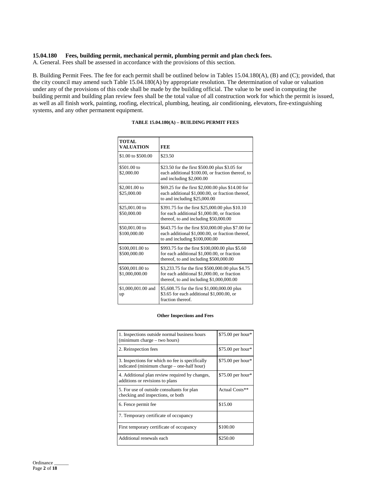### **15.04.180 Fees, building permit, mechanical permit, plumbing permit and plan check fees.**

A. General. Fees shall be assessed in accordance with the provisions of this section.

B. Building Permit Fees. The fee for each permit shall be outlined below in Tables 15.04.180(A), (B) and (C); provided, that the city council may amend such Table 15.04.180(A) by appropriate resolution. The determination of value or valuation under any of the provisions of this code shall be made by the building official. The value to be used in computing the building permit and building plan review fees shall be the total value of all construction work for which the permit is issued, as well as all finish work, painting, roofing, electrical, plumbing, heating, air conditioning, elevators, fire-extinguishing systems, and any other permanent equipment.

| <b>TOTAL</b><br><b>VALUATION</b>  | <b>FEE</b>                                                                                                                                    |
|-----------------------------------|-----------------------------------------------------------------------------------------------------------------------------------------------|
| \$1.00 to \$500.00                | \$23.50                                                                                                                                       |
| \$501.00 to<br>\$2,000.00         | \$23.50 for the first \$500.00 plus \$3.05 for<br>each additional \$100.00, or fraction thereof, to<br>and including \$2,000.00               |
| \$2,001.00 to<br>\$25,000.00      | \$69.25 for the first \$2,000.00 plus \$14.00 for<br>each additional \$1,000.00, or fraction thereof,<br>to and including $$25,000.00$        |
| \$25,001.00 to<br>\$50,000.00     | \$391.75 for the first \$25,000.00 plus \$10.10<br>for each additional \$1,000.00, or fraction<br>thereof, to and including \$50,000.00       |
| \$50,001.00 to<br>\$100,000.00    | \$643.75 for the first \$50,000.00 plus \$7.00 for<br>each additional \$1,000.00, or fraction thereof,<br>to and including $$100,000.00$      |
| \$100,001.00 to<br>\$500,000.00   | \$993.75 for the first \$100,000.00 plus \$5.60<br>for each additional \$1,000.00, or fraction<br>thereof, to and including \$500,000.00      |
| \$500,001.00 to<br>\$1,000,000.00 | \$3,233.75 for the first \$500,000.00 plus \$4.75<br>for each additional \$1,000.00, or fraction<br>thereof, to and including $$1,000,000.00$ |
| \$1,000,001.00 and<br>up          | \$5,608.75 for the first \$1,000,000.00 plus<br>\$3.65 for each additional \$1,000.00, or<br>fraction thereof.                                |

### **TABLE 15.04.180(A) – BUILDING PERMIT FEES**

#### **Other Inspections and Fees**

| 1. Inspections outside normal business hours<br>(minimum charge – two hours)                  | \$75.00 per hour* |
|-----------------------------------------------------------------------------------------------|-------------------|
| 2. Reinspection fees                                                                          | \$75.00 per hour* |
| 3. Inspections for which no fee is specifically<br>indicated (minimum charge – one-half hour) | \$75.00 per hour* |
| 4. Additional plan review required by changes,<br>additions or revisions to plans             | \$75.00 per hour* |
| 5. For use of outside consultants for plan<br>checking and inspections, or both               | Actual Costs**    |
| 6. Fence permit fee                                                                           | \$15.00           |
| 7. Temporary certificate of occupancy                                                         |                   |
| First temporary certificate of occupancy                                                      | \$100.00          |
| Additional renewals each                                                                      | \$250.00          |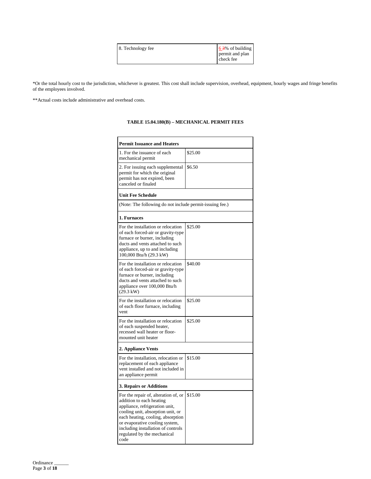|--|

\*Or the total hourly cost to the jurisdiction, whichever is greatest. This cost shall include supervision, overhead, equipment, hourly wages and fringe benefits of the employees involved.

\*\*Actual costs include administrative and overhead costs.

| <b>Permit Issuance and Heaters</b>                                                                                                                                                                                                                                                          |         |  |
|---------------------------------------------------------------------------------------------------------------------------------------------------------------------------------------------------------------------------------------------------------------------------------------------|---------|--|
| 1. For the issuance of each<br>mechanical permit                                                                                                                                                                                                                                            | \$25.00 |  |
| 2. For issuing each supplemental<br>permit for which the original<br>permit has not expired, been<br>canceled or finaled                                                                                                                                                                    | \$6.50  |  |
| <b>Unit Fee Schedule</b>                                                                                                                                                                                                                                                                    |         |  |
| (Note: The following do not include permit-issuing fee.)                                                                                                                                                                                                                                    |         |  |
| 1. Furnaces                                                                                                                                                                                                                                                                                 |         |  |
| For the installation or relocation<br>of each forced-air or gravity-type<br>furnace or burner, including<br>ducts and vents attached to such<br>appliance, up to and including<br>100,000 Btu/h (29.3 kW)                                                                                   | \$25.00 |  |
| For the installation or relocation<br>of each forced-air or gravity-type<br>furnace or burner, including<br>ducts and vents attached to such<br>appliance over 100,000 Btu/h<br>$(29.3 \text{ kW})$                                                                                         | \$40.00 |  |
| For the installation or relocation<br>of each floor furnace, including<br>vent                                                                                                                                                                                                              | \$25.00 |  |
| For the installation or relocation<br>of each suspended heater,<br>recessed wall heater or floor-<br>mounted unit heater                                                                                                                                                                    | \$25.00 |  |
| 2. Appliance Vents                                                                                                                                                                                                                                                                          |         |  |
| For the installation, relocation or<br>replacement of each appliance<br>vent installed and not included in<br>an appliance permit                                                                                                                                                           | \$15.00 |  |
| 3. Repairs or Additions                                                                                                                                                                                                                                                                     |         |  |
| For the repair of, alteration of, or<br>addition to each heating<br>appliance, refrigeration unit,<br>cooling unit, absorption unit, or<br>each heating, cooling, absorption<br>or evaporative cooling system,<br>including installation of controls<br>regulated by the mechanical<br>code | \$15.00 |  |

### **TABLE 15.04.180(B) – MECHANICAL PERMIT FEES**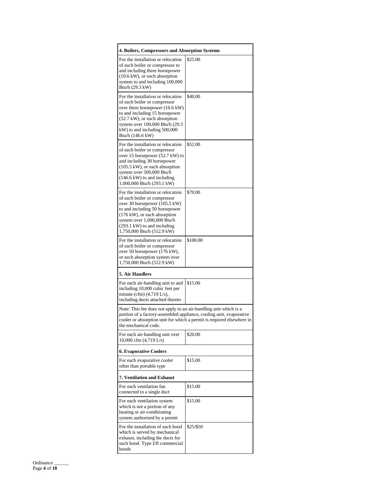| 4. Boilers, Compressors and Absorption Systems                                                                                                                                                                                                                                        |           |  |
|---------------------------------------------------------------------------------------------------------------------------------------------------------------------------------------------------------------------------------------------------------------------------------------|-----------|--|
| For the installation or relocation<br>of each boiler or compressor to<br>and including three horsepower<br>$(10.6 \text{ kW})$ , or each absorption<br>system to and including 100,000<br>Btu/h (29.3 kW)                                                                             | \$25.00   |  |
| For the installation or relocation<br>of each boiler or compressor<br>over three horsepower (10.6 kW)<br>to and including 15 horsepower<br>$(52.7 \text{ kW})$ , or each absorption<br>system over 100,000 Btu/h (29.3)<br>kW) to and including 500,000<br>Btu/h (146.6 kW)           | \$40.00   |  |
| For the installation or relocation<br>of each boiler or compressor<br>over 15 horsepower (52.7 kW) to<br>and including 30 horsepower<br>$(105.5 \text{ kW})$ , or each absorption<br>system over 500,000 Btu/h<br>$(146.6 \text{ kW})$ to and including<br>1,000,000 Btu/h (293.1 kW) | \$52.00   |  |
| For the installation or relocation<br>of each boiler or compressor<br>over 30 horsepower (105.5 kW)<br>to and including 50 horsepower<br>(176 kW), or each absorption<br>system over 1,000,000 Btu/h<br>$(293.1 \text{ kW})$ to and including<br>1,750,000 Btu/h (512.9 kW)           | \$70.00   |  |
| For the installation or relocation<br>of each boiler or compressor<br>over 50 horsepower (176 kW),<br>or each absorption system over<br>1,750,000 Btu/h (512.9 kW)                                                                                                                    | \$100.00  |  |
| <b>5. Air Handlers</b>                                                                                                                                                                                                                                                                |           |  |
| For each air-handling unit to and<br>including 10,000 cubic feet per<br>minute (cfm) $(4,719$ L/s),<br>including ducts attached thereto                                                                                                                                               | \$15.00   |  |
| Note: This fee does not apply to an air-handling unit which is a<br>portion of a factory-assembled appliance, cooling unit, evaporative<br>cooler or absorption unit for which a permit is required elsewhere in<br>the mechanical code.                                              |           |  |
| For each air-handling unit over<br>10,000 cfm $(4,719 \text{ L/s})$                                                                                                                                                                                                                   | \$20.00   |  |
| <b>6. Evaporative Coolers</b>                                                                                                                                                                                                                                                         |           |  |
| For each evaporative cooler<br>other than portable type                                                                                                                                                                                                                               | \$15.00   |  |
| <b>7. Ventilation and Exhaust</b>                                                                                                                                                                                                                                                     |           |  |
| For each ventilation fan<br>connected to a single duct                                                                                                                                                                                                                                | \$15.00   |  |
| For each ventilation system<br>which is not a portion of any<br>heating or air-conditioning<br>system authorized by a permit                                                                                                                                                          | \$15.00   |  |
| For the installation of each hood<br>which is served by mechanical<br>exhaust, including the ducts for<br>such hood. Type I/II commercial<br>hoods                                                                                                                                    | \$25/\$50 |  |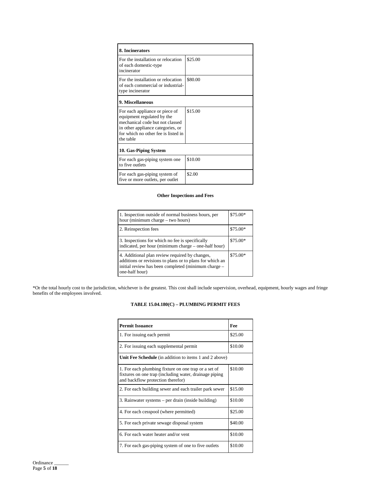| 8. Incinerators                                                                                                                                                                          |         |
|------------------------------------------------------------------------------------------------------------------------------------------------------------------------------------------|---------|
| For the installation or relocation<br>of each domestic-type<br>incinerator                                                                                                               | \$25.00 |
| For the installation or relocation<br>of each commercial or industrial-<br>type incinerator                                                                                              | \$80.00 |
| 9. Miscellaneous                                                                                                                                                                         |         |
| For each appliance or piece of<br>equipment regulated by the<br>mechanical code but not classed<br>in other appliance categories, or<br>for which no other fee is listed in<br>the table | \$15.00 |
| 10. Gas-Piping System                                                                                                                                                                    |         |
| For each gas-piping system one<br>to five outlets                                                                                                                                        | \$10.00 |
| For each gas-piping system of<br>five or more outlets, per outlet                                                                                                                        | \$2.00  |

#### **Other Inspections and Fees**

| 1. Inspection outside of normal business hours, per<br>hour (minimum charge – two hours)                                                                                            | $$75.00*$ |
|-------------------------------------------------------------------------------------------------------------------------------------------------------------------------------------|-----------|
| 2. Reinspection fees                                                                                                                                                                | $$75.00*$ |
| 3. Inspections for which no fee is specifically<br>indicated, per hour (minimum charge - one-half hour)                                                                             | $$75.00*$ |
| 4. Additional plan review required by changes,<br>additions or revisions to plans or to plans for which an<br>initial review has been completed (minimum charge –<br>one-half hour) | $$75.00*$ |

\*Or the total hourly cost to the jurisdiction, whichever is the greatest. This cost shall include supervision, overhead, equipment, hourly wages and fringe benefits of the employees involved.

## **TABLE 15.04.180(C) – PLUMBING PERMIT FEES**

| <b>Permit Issuance</b>                                                                                                                              | Fee     |
|-----------------------------------------------------------------------------------------------------------------------------------------------------|---------|
| 1. For issuing each permit                                                                                                                          | \$25.00 |
| 2. For issuing each supplemental permit                                                                                                             | \$10.00 |
| <b>Unit Fee Schedule</b> (in addition to items 1 and 2 above)                                                                                       |         |
| 1. For each plumbing fixture on one trap or a set of<br>fixtures on one trap (including water, drainage piping<br>and backflow protection therefor) | \$10.00 |
| 2. For each building sewer and each trailer park sewer                                                                                              | \$15.00 |
| 3. Rainwater systems – per drain (inside building)                                                                                                  | \$10.00 |
| 4. For each cesspool (where permitted)                                                                                                              | \$25.00 |
| 5. For each private sewage disposal system                                                                                                          | \$40.00 |
| 6. For each water heater and/or vent                                                                                                                | \$10.00 |
| 7. For each gas-piping system of one to five outlets                                                                                                | \$10.00 |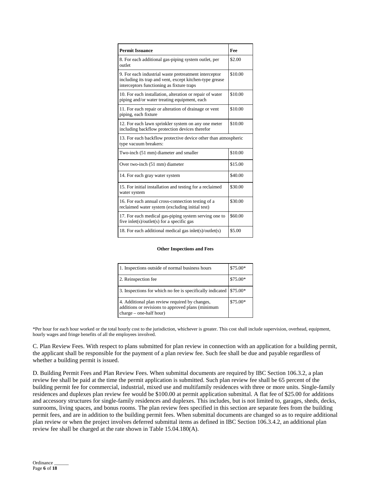| <b>Permit Issuance</b>                                                                                                                                        | Fee     |
|---------------------------------------------------------------------------------------------------------------------------------------------------------------|---------|
| 8. For each additional gas-piping system outlet, per<br>outlet                                                                                                | \$2.00  |
| 9. For each industrial waste pretreatment interceptor<br>including its trap and vent, except kitchen-type grease<br>interceptors functioning as fixture traps | \$10.00 |
| 10. For each installation, alteration or repair of water<br>piping and/or water treating equipment, each                                                      | \$10.00 |
| 11. For each repair or alteration of drainage or vent<br>piping, each fixture                                                                                 | \$10.00 |
| 12. For each lawn sprinkler system on any one meter<br>including backflow protection devices therefor                                                         | \$10.00 |
| 13. For each backflow protective device other than atmospheric<br>type vacuum breakers:                                                                       |         |
| Two-inch (51 mm) diameter and smaller                                                                                                                         | \$10.00 |
| Over two-inch (51 mm) diameter                                                                                                                                | \$15.00 |
| 14. For each gray water system                                                                                                                                | \$40.00 |
| 15. For initial installation and testing for a reclaimed<br>water system                                                                                      | \$30.00 |
| 16. For each annual cross-connection testing of a<br>reclaimed water system (excluding initial test)                                                          | \$30.00 |
| 17. For each medical gas-piping system serving one to<br>five inlet(s)/outlet(s) for a specific gas                                                           | \$60.00 |
| 18. For each additional medical gas inlet(s)/outlet(s)                                                                                                        | \$5.00  |

#### **Other Inspections and Fees**

| 1. Inspections outside of normal business hours                                                                                  | \$75.00*  |
|----------------------------------------------------------------------------------------------------------------------------------|-----------|
| 2. Reinspection fee                                                                                                              | \$75.00*  |
| 3. Inspections for which no fee is specifically indicated                                                                        | \$75.00*  |
| 4. Additional plan review required by changes,<br>additions or revisions to approved plans (minimum<br>$charge - one-half hour)$ | $$75.00*$ |

\*Per hour for each hour worked or the total hourly cost to the jurisdiction, whichever is greater. This cost shall include supervision, overhead, equipment, hourly wages and fringe benefits of all the employees involved.

C. Plan Review Fees. With respect to plans submitted for plan review in connection with an application for a building permit, the applicant shall be responsible for the payment of a plan review fee. Such fee shall be due and payable regardless of whether a building permit is issued.

D. Building Permit Fees and Plan Review Fees. When submittal documents are required by IBC Section 106.3.2, a plan review fee shall be paid at the time the permit application is submitted. Such plan review fee shall be 65 percent of the building permit fee for commercial, industrial, mixed use and multifamily residences with three or more units. Single-family residences and duplexes plan review fee would be \$100.00 at permit application submittal. A flat fee of \$25.00 for additions and accessory structures for single-family residences and duplexes. This includes, but is not limited to, garages, sheds, decks, sunrooms, living spaces, and bonus rooms. The plan review fees specified in this section are separate fees from the building permit fees, and are in addition to the building permit fees. When submittal documents are changed so as to require additional plan review or when the project involves deferred submittal items as defined in IBC Section 106.3.4.2, an additional plan review fee shall be charged at the rate shown in Table 15.04.180(A).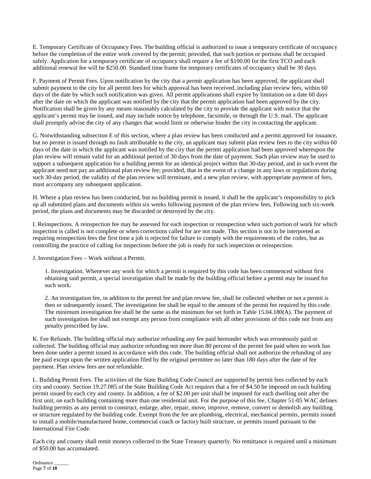E. Temporary Certificate of Occupancy Fees. The building official is authorized to issue a temporary certificate of occupancy before the completion of the entire work covered by the permit; provided, that such portion or portions shall be occupied safely. Application for a temporary certificate of occupancy shall require a fee of \$100.00 for the first TCO and each additional renewal fee will be \$250.00. Standard time frame for temporary certificates of occupancy shall be 30 days.

F. Payment of Permit Fees. Upon notification by the city that a permit application has been approved, the applicant shall submit payment to the city for all permit fees for which approval has been received, including plan review fees, within 60 days of the date by which such notification was given. All permit applications shall expire by limitation on a date 60 days after the date on which the applicant was notified by the city that the permit application had been approved by the city. Notification shall be given by any means reasonably calculated by the city to provide the applicant with notice that the applicant's permit may be issued, and may include notice by telephone, facsimile, or through the U.S. mail. The applicant shall promptly advise the city of any changes that would limit or otherwise hinder the city in contacting the applicant.

G. Notwithstanding subsection E of this section, where a plan review has been conducted and a permit approved for issuance, but no permit is issued through no fault attributable to the city, an applicant may submit plan review fees to the city within 60 days of the date in which the applicant was notified by the city that the permit application had been approved whereupon the plan review will remain valid for an additional period of 30 days from the date of payment. Such plan review may be used to support a subsequent application for a building permit for an identical project within that 30-day period, and in such event the applicant need not pay an additional plan review fee; provided, that in the event of a change in any laws or regulations during such 30-day period, the validity of the plan review will terminate, and a new plan review, with appropriate payment of fees, must accompany any subsequent application.

H. Where a plan review has been conducted, but no building permit is issued, it shall be the applicant's responsibility to pick up all submitted plans and documents within six weeks following payment of the plan review fees. Following such six-week period, the plans and documents may be discarded or destroyed by the city.

I. Reinspections. A reinspection fee may be assessed for each inspection or reinspection when such portion of work for which inspection is called is not complete or when corrections called for are not made. This section is not to be interpreted as requiring reinspection fees the first time a job is rejected for failure to comply with the requirements of the codes, but as controlling the practice of calling for inspections before the job is ready for such inspection or reinspection.

J. Investigation Fees – Work without a Permit.

1. Investigation. Whenever any work for which a permit is required by this code has been commenced without first obtaining said permit, a special investigation shall be made by the building official before a permit may be issued for such work.

2. An investigation fee, in addition to the permit fee and plan review fee, shall be collected whether or not a permit is then or subsequently issued. The investigation fee shall be equal to the amount of the permit fee required by this code. The minimum investigation fee shall be the same as the minimum fee set forth in Table 15.04.180(A). The payment of such investigation fee shall not exempt any person from compliance with all other provisions of this code nor from any penalty prescribed by law.

K. Fee Refunds. The building official may authorize refunding any fee paid hereunder which was erroneously paid or collected. The building official may authorize refunding not more than 80 percent of the permit fee paid when no work has been done under a permit issued in accordance with this code. The building official shall not authorize the refunding of any fee paid except upon the written application filed by the original permittee no later than 180 days after the date of fee payment. Plan review fees are not refundable.

L. Building Permit Fees. The activities of the State Building Code Council are supported by permit fees collected by each city and county. Section 19.27.085 of the State Building Code Act requires that a fee of \$4.50 be imposed on each building permit issued by each city and county. In addition, a fee of \$2.00 per unit shall be imposed for each dwelling unit after the first unit, on each building containing more than one residential unit. For the purpose of this fee, Chapter 51-05 WAC defines building permits as any permit to construct, enlarge, alter, repair, move, improve, remove, convert or demolish any building or structure regulated by the building code. Exempt from the fee are plumbing, electrical, mechanical permits, permits issued to install a mobile/manufactured home, commercial coach or factory built structure, or permits issued pursuant to the International Fire Code.

Each city and county shall remit moneys collected to the State Treasury quarterly. No remittance is required until a minimum of \$50.00 has accumulated.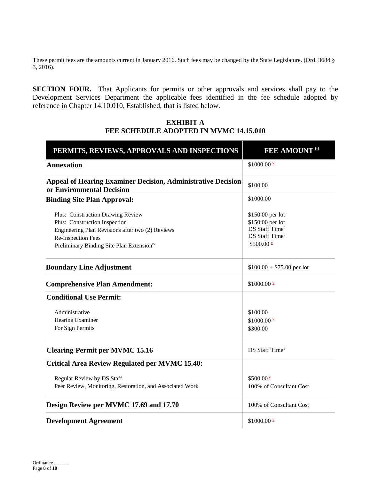These permit fees are the amounts current in January 2016. Such fees may be changed by the State Legislature. (Ord. 3684 § 3, 2016).

**SECTION FOUR.** That Applicants for permits or other approvals and services shall pay to the Development Services Department the applicable fees identified in the fee schedule adopted by reference in Chapter 14.10.010, Established, that is listed below.

# **EXHIBIT A FEE SCHEDULE ADOPTED IN MVMC 14.15.010**

| PERMITS, REVIEWS, APPROVALS AND INSPECTIONS                                                      | <b>FEE AMOUNT iii</b>      |
|--------------------------------------------------------------------------------------------------|----------------------------|
| <b>Annexation</b>                                                                                | $$1000.00 \times$          |
| <b>Appeal of Hearing Examiner Decision, Administrative Decision</b><br>or Environmental Decision | \$100.00                   |
| <b>Binding Site Plan Approval:</b>                                                               | \$1000.00                  |
| Plus: Construction Drawing Review                                                                | \$150.00 per lot           |
| Plus: Construction Inspection                                                                    | \$150.00 per lot           |
| Engineering Plan Revisions after two (2) Reviews                                                 | DS Staff Timei             |
| Re-Inspection Fees                                                                               | DS Staff Time <sup>i</sup> |
| Preliminary Binding Site Plan Extensioniv                                                        | $$500.00 \times$           |
| <b>Boundary Line Adjustment</b>                                                                  | $$100.00 + $75.00$ per lot |
| <b>Comprehensive Plan Amendment:</b>                                                             | $$1000.00 \times$          |
| <b>Conditional Use Permit:</b>                                                                   |                            |
| Administrative                                                                                   | \$100.00                   |
| Hearing Examiner                                                                                 | \$1000.00 $\frac{\nu}{2}$  |
| For Sign Permits                                                                                 | \$300.00                   |
| <b>Clearing Permit per MVMC 15.16</b>                                                            | DS Staff Time <sup>i</sup> |
| <b>Critical Area Review Regulated per MVMC 15.40:</b>                                            |                            |
| Regular Review by DS Staff                                                                       | $$500.00^{\circ}$          |
| Peer Review, Monitoring, Restoration, and Associated Work                                        | 100% of Consultant Cost    |
| Design Review per MVMC 17.69 and 17.70                                                           | 100% of Consultant Cost    |
| <b>Development Agreement</b>                                                                     | \$1000.00 $\frac{\nu}{2}$  |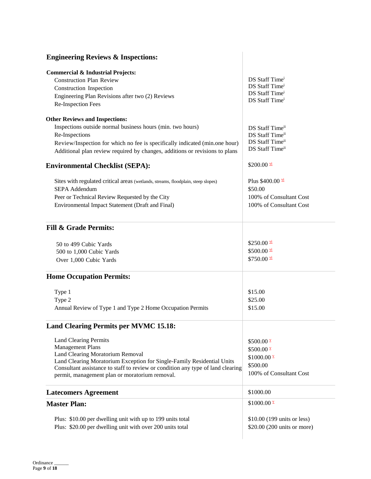| <b>Engineering Reviews &amp; Inspections:</b>                                                                                                                                                                                                                                                                                                                                                                                                                                                                                                    |                                                                                                                                                                                                                   |
|--------------------------------------------------------------------------------------------------------------------------------------------------------------------------------------------------------------------------------------------------------------------------------------------------------------------------------------------------------------------------------------------------------------------------------------------------------------------------------------------------------------------------------------------------|-------------------------------------------------------------------------------------------------------------------------------------------------------------------------------------------------------------------|
| <b>Commercial &amp; Industrial Projects:</b><br><b>Construction Plan Review</b><br>Construction Inspection<br>Engineering Plan Revisions after two (2) Reviews<br>Re-Inspection Fees                                                                                                                                                                                                                                                                                                                                                             | DS Staff Time <sup>i</sup><br>DS Staff Time <sup>i</sup><br>DS Staff Time <sup>i</sup><br>DS Staff Time <sup>i</sup>                                                                                              |
| <b>Other Reviews and Inspections:</b><br>Inspections outside normal business hours (min. two hours)<br>Re-Inspections<br>Review/Inspection for which no fee is specifically indicated (min.one hour)<br>Additional plan review required by changes, additions or revisions to plans<br><b>Environmental Checklist (SEPA):</b><br>Sites with regulated critical areas (wetlands, streams, floodplain, steep slopes)<br><b>SEPA Addendum</b><br>Peer or Technical Review Requested by the City<br>Environmental Impact Statement (Draft and Final) | DS Staff Timeii<br>DS Staff Timeii<br>DS Staff Timeii<br>DS Staff Timeii<br>\$200.00 $\frac{\text{vi}}{2}$<br>Plus $$400.00 \frac{\text{vi}}{2}$<br>\$50.00<br>100% of Consultant Cost<br>100% of Consultant Cost |
| <b>Fill &amp; Grade Permits:</b>                                                                                                                                                                                                                                                                                                                                                                                                                                                                                                                 | \$250.00 $\frac{\text{vi}}{2}$                                                                                                                                                                                    |
| 50 to 499 Cubic Yards<br>500 to 1,000 Cubic Yards<br>Over 1,000 Cubic Yards                                                                                                                                                                                                                                                                                                                                                                                                                                                                      | $$500.00 \frac{\text{vi}}{2}$<br>$$750.00 \frac{\text{vi}}{2}$                                                                                                                                                    |
| <b>Home Occupation Permits:</b>                                                                                                                                                                                                                                                                                                                                                                                                                                                                                                                  |                                                                                                                                                                                                                   |
| Type 1<br>Type 2<br>Annual Review of Type 1 and Type 2 Home Occupation Permits                                                                                                                                                                                                                                                                                                                                                                                                                                                                   | \$15.00<br>\$25.00<br>\$15.00                                                                                                                                                                                     |
| <b>Land Clearing Permits per MVMC 15.18:</b>                                                                                                                                                                                                                                                                                                                                                                                                                                                                                                     |                                                                                                                                                                                                                   |
| <b>Land Clearing Permits</b><br><b>Management Plans</b><br>Land Clearing Moratorium Removal<br>Land Clearing Moratorium Exception for Single-Family Residential Units<br>Consultant assistance to staff to review or condition any type of land clearing<br>permit, management plan or moratorium removal.                                                                                                                                                                                                                                       | $$500.00 \times$<br>$$500.00 \times$<br>$$1000.00 \times$<br>\$500.00<br>100% of Consultant Cost                                                                                                                  |
| <b>Latecomers Agreement</b>                                                                                                                                                                                                                                                                                                                                                                                                                                                                                                                      | \$1000.00                                                                                                                                                                                                         |
| <b>Master Plan:</b>                                                                                                                                                                                                                                                                                                                                                                                                                                                                                                                              | $$1000.00 \times$                                                                                                                                                                                                 |
| Plus: \$10.00 per dwelling unit with up to 199 units total<br>Plus: \$20.00 per dwelling unit with over 200 units total                                                                                                                                                                                                                                                                                                                                                                                                                          | \$10.00 (199 units or less)<br>\$20.00 (200 units or more)                                                                                                                                                        |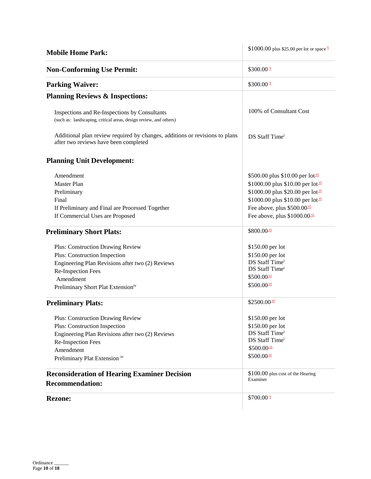| <b>Mobile Home Park:</b>                                                                                             | \$1000.00 plus \$25.00 per lot or space $\frac{v}{x}$ |
|----------------------------------------------------------------------------------------------------------------------|-------------------------------------------------------|
| <b>Non-Conforming Use Permit:</b>                                                                                    | $$300.00 \times$                                      |
| <b>Parking Waiver:</b>                                                                                               | $$300.00 \times$                                      |
| <b>Planning Reviews &amp; Inspections:</b>                                                                           |                                                       |
| Inspections and Re-Inspections by Consultants<br>(such as: landscaping, critical areas, design review, and others)   | 100% of Consultant Cost                               |
| Additional plan review required by changes, additions or revisions to plans<br>after two reviews have been completed | DS Staff Time <sup>i</sup>                            |
| <b>Planning Unit Development:</b>                                                                                    |                                                       |
| Amendment                                                                                                            | \$500.00 plus \$10.00 per lot $\frac{vi}{ }$          |
| <b>Master Plan</b>                                                                                                   | \$1000.00 plus \$10.00 per lot $\frac{vi}{ }$         |
| Preliminary                                                                                                          | \$1000.00 plus \$20.00 per lot <sup>yi</sup>          |
| Final                                                                                                                | \$1000.00 plus \$10.00 per lot $\frac{vi}{ }$         |
| If Preliminary and Final are Processed Together                                                                      | Fee above, plus \$500.00 <sup>vi</sup>                |
| If Commercial Uses are Proposed                                                                                      | Fee above, plus $$1000.00\frac{\text{vi}}{2}$         |
| <b>Preliminary Short Plats:</b>                                                                                      | $$800.00 \frac{\text{vi}}{2}$                         |
| <b>Plus: Construction Drawing Review</b>                                                                             | \$150.00 per lot                                      |
| Plus: Construction Inspection                                                                                        | \$150.00 per lot                                      |
| Engineering Plan Revisions after two (2) Reviews                                                                     | DS Staff Time <sup>i</sup>                            |
| Re-Inspection Fees                                                                                                   | DS Staff Time <sup>i</sup>                            |
| Amendment                                                                                                            | $$500.00 \frac{\text{vi}}{2}$                         |
| Preliminary Short Plat Extensioniv                                                                                   | $$500.00 \frac{\text{vi}}{2}$                         |
| <b>Preliminary Plats:</b>                                                                                            | $$2500.00$ $\frac{vi}{i}$                             |
| <b>Plus: Construction Drawing Review</b>                                                                             | \$150.00 per lot                                      |
| Plus: Construction Inspection                                                                                        | \$150.00 per lot                                      |
| Engineering Plan Revisions after two (2) Reviews                                                                     | DS Staff Time <sup>i</sup>                            |
| Re-Inspection Fees                                                                                                   | DS Staff Time <sup>i</sup>                            |
| Amendment                                                                                                            | $$500.00 \frac{\text{vi}}{2}$$                        |
| Preliminary Plat Extension iv                                                                                        | $$500.00 \frac{\text{vi}}{2}$                         |
| <b>Reconsideration of Hearing Examiner Decision</b><br><b>Recommendation:</b>                                        | \$100.00 plus cost of the Hearing<br>Examiner         |
| <b>Rezone:</b>                                                                                                       | $$700.00 \times$                                      |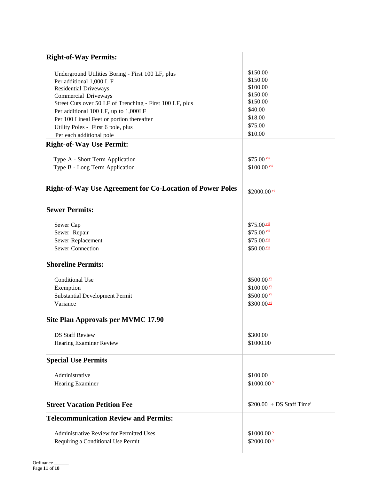| <b>Right-of-Way Permits:</b>                                                      |                                        |
|-----------------------------------------------------------------------------------|----------------------------------------|
| Underground Utilities Boring - First 100 LF, plus                                 | \$150.00                               |
| Per additional 1,000 L F                                                          | \$150.00                               |
| Residential Driveways                                                             | \$100.00<br>\$150.00                   |
| Commercial Driveways                                                              | \$150.00                               |
| Street Cuts over 50 LF of Trenching - First 100 LF, plus                          | \$40.00                                |
| Per additional 100 LF, up to 1,000LF<br>Per 100 Lineal Feet or portion thereafter | \$18.00                                |
| Utility Poles - First 6 pole, plus                                                | \$75.00                                |
| Per each additional pole                                                          | \$10.00                                |
| <b>Right-of-Way Use Permit:</b>                                                   |                                        |
| Type A - Short Term Application                                                   | $$75.00$ $\frac{vii}{ }$               |
| Type B - Long Term Application                                                    | $$100.00$ $\frac{\text{vii}}{ }$       |
| <b>Right-of-Way Use Agreement for Co-Location of Power Poles</b>                  | $$2000.00 \frac{\text{vi}}{3}$         |
| <b>Sewer Permits:</b>                                                             |                                        |
| Sewer Cap                                                                         | $$75.00$ $\frac{vii}{ }$               |
| Sewer Repair                                                                      | \$75.00 vii<br>\$75.00 vii             |
| Sewer Replacement                                                                 |                                        |
| <b>Sewer Connection</b>                                                           | $$50.00$ $\frac{\text{vii}}{ }$        |
| <b>Shoreline Permits:</b>                                                         |                                        |
| <b>Conditional Use</b>                                                            | $$500.00$ $\rm{M}$                     |
| Exemption                                                                         | $$100.00$ $\frac{vi}{i}$               |
| <b>Substantial Development Permit</b>                                             | $$500.00$ $\overline{M}$               |
| Variance                                                                          | $$300.00$ <sup>vi</sup>                |
| Site Plan Approvals per MVMC 17.90                                                |                                        |
| <b>DS Staff Review</b>                                                            | \$300.00                               |
| Hearing Examiner Review                                                           | \$1000.00                              |
| <b>Special Use Permits</b>                                                        |                                        |
| Administrative                                                                    | \$100.00                               |
| Hearing Examiner                                                                  | $$1000.00 \times$                      |
| <b>Street Vacation Petition Fee</b>                                               | $$200.00 + DS$ Staff Time <sup>i</sup> |
| <b>Telecommunication Review and Permits:</b>                                      |                                        |
| Administrative Review for Permitted Uses                                          | $$1000.00 \times$                      |
| Requiring a Conditional Use Permit                                                | $$2000.00 \times$                      |
|                                                                                   |                                        |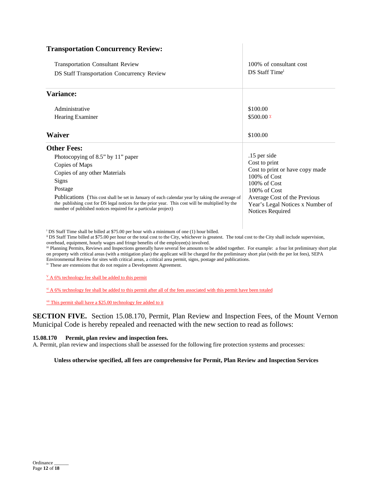| <b>Transportation Concurrency Review:</b>                                                                                                                                                                                                                                   |                                                                                      |  |
|-----------------------------------------------------------------------------------------------------------------------------------------------------------------------------------------------------------------------------------------------------------------------------|--------------------------------------------------------------------------------------|--|
| <b>Transportation Consultant Review</b>                                                                                                                                                                                                                                     | 100% of consultant cost                                                              |  |
| <b>DS Staff Transportation Concurrency Review</b>                                                                                                                                                                                                                           | DS Staff Time <sup>i</sup>                                                           |  |
| <b>Variance:</b>                                                                                                                                                                                                                                                            |                                                                                      |  |
| Administrative                                                                                                                                                                                                                                                              | \$100.00                                                                             |  |
| Hearing Examiner                                                                                                                                                                                                                                                            | $$500.00 \times$                                                                     |  |
| <b>Waiver</b>                                                                                                                                                                                                                                                               | \$100.00                                                                             |  |
| <b>Other Fees:</b>                                                                                                                                                                                                                                                          |                                                                                      |  |
| Photocopying of 8.5" by 11" paper                                                                                                                                                                                                                                           | .15 per side                                                                         |  |
| Copies of Maps                                                                                                                                                                                                                                                              | Cost to print                                                                        |  |
| Copies of any other Materials                                                                                                                                                                                                                                               | Cost to print or have copy made<br>$100\%$ of Cost                                   |  |
| Signs                                                                                                                                                                                                                                                                       | 100% of Cost                                                                         |  |
| Postage                                                                                                                                                                                                                                                                     | $100\%$ of Cost                                                                      |  |
| <b>Publications</b> (This cost shall be set in January of each calendar year by taking the average of<br>the publishing cost for DS legal notices for the prior year. This cost will be multiplied by the<br>number of published notices required for a particular project) | Average Cost of the Previous<br>Year's Legal Notices x Number of<br>Notices Required |  |
|                                                                                                                                                                                                                                                                             |                                                                                      |  |

 $\mathbb{I}$ 

<sup>i</sup> DS Staff Time shall be billed at \$75.00 per hour with a minimum of one (1) hour billed.

ii DS Staff Time billed at \$75.00 per hour or the total cost to the City, whichever is greatest. The total cost to the City shall include supervision,

overhead, equipment, hourly wages and fringe benefits of the employee(s) involved.

iii Planning Permits, Reviews and Inspections generally have several fee amounts to be added together. For example: a four lot preliminary short plat on property with critical areas (with a mitigation plan) the applicant will be charged for the preliminary short plat (with the per lot fees), SEPA Environmental Review for sites with critical areas, a critical area permit, signs, postage and publications.

iv These are extensions that do not require a Development Agreement.

 $\frac{V}{A}$  6% technology fee shall be added to this permit

 $\frac{v_i}{v_i}$  A 6% technology fee shall be added to this permit after all of the fees associated with this permit have been totaled

vii This permit shall have a \$25.00 technology fee added to it

**SECTION FIVE.** Section 15.08.170, Permit, Plan Review and Inspection Fees, of the Mount Vernon Municipal Code is hereby repealed and reenacted with the new section to read as follows:

### **15.08.170 Permit, plan review and inspection fees.**

A. Permit, plan review and inspections shall be assessed for the following fire protection systems and processes:

### **Unless otherwise specified, all fees are comprehensive for Permit, Plan Review and Inspection Services**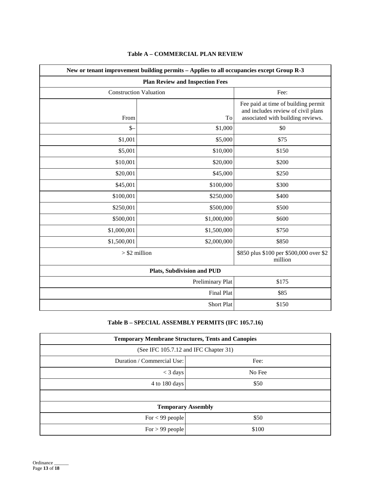| New or tenant improvement building permits - Applies to all occupancies except Group R-3<br><b>Plan Review and Inspection Fees</b> |                  |                                                                                                                |
|------------------------------------------------------------------------------------------------------------------------------------|------------------|----------------------------------------------------------------------------------------------------------------|
|                                                                                                                                    |                  |                                                                                                                |
| From                                                                                                                               | To               | Fee paid at time of building permit<br>and includes review of civil plans<br>associated with building reviews. |
| $\mathcal{S}$                                                                                                                      | \$1,000          | \$0                                                                                                            |
| \$1,001                                                                                                                            | \$5,000          | \$75                                                                                                           |
| \$5,001                                                                                                                            | \$10,000         | \$150                                                                                                          |
| \$10,001                                                                                                                           | \$20,000         | \$200                                                                                                          |
| \$20,001                                                                                                                           | \$45,000         | \$250                                                                                                          |
| \$45,001                                                                                                                           | \$100,000        | \$300                                                                                                          |
| \$100,001                                                                                                                          | \$250,000        | \$400                                                                                                          |
| \$250,001                                                                                                                          | \$500,000        | \$500                                                                                                          |
| \$500,001                                                                                                                          | \$1,000,000      | \$600                                                                                                          |
| \$1,000,001                                                                                                                        | \$1,500,000      | \$750                                                                                                          |
| \$1,500,001                                                                                                                        | \$2,000,000      | \$850                                                                                                          |
| $>$ \$2 million                                                                                                                    |                  | \$850 plus \$100 per \$500,000 over \$2<br>million                                                             |
| <b>Plats, Subdivision and PUD</b>                                                                                                  |                  |                                                                                                                |
|                                                                                                                                    | Preliminary Plat | \$175                                                                                                          |
| <b>Final Plat</b><br>\$85                                                                                                          |                  |                                                                                                                |
| <b>Short Plat</b><br>\$150                                                                                                         |                  |                                                                                                                |

## **Table A – COMMERCIAL PLAN REVIEW**

# **Table B – SPECIAL ASSEMBLY PERMITS (IFC 105.7.16)**

| <b>Temporary Membrane Structures, Tents and Canopies</b> |        |  |
|----------------------------------------------------------|--------|--|
| (See IFC 105.7.12 and IFC Chapter 31)                    |        |  |
| Duration / Commercial Use:                               | Fee:   |  |
| $<$ 3 days                                               | No Fee |  |
| 4 to 180 days                                            | \$50   |  |
|                                                          |        |  |
| <b>Temporary Assembly</b>                                |        |  |
| For $<$ 99 people                                        | \$50   |  |
| For $> 99$ people                                        | \$100  |  |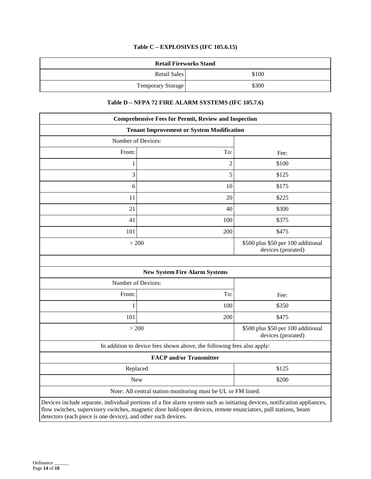# **Table C – EXPLOSIVES (IFC 105.6.15)**

|                   | <b>Retail Fireworks Stand</b> |
|-------------------|-------------------------------|
| Retail Sales      | \$100                         |
| Temporary Storage | \$300                         |

# **Table D – NFPA 72 FIRE ALARM SYSTEMS (IFC 105.7.6)**

|                    | <b>Comprehensive Fees for Permit, Review and Inspection</b>            |                                                          |
|--------------------|------------------------------------------------------------------------|----------------------------------------------------------|
|                    | <b>Tenant Improvement or System Modification</b>                       |                                                          |
| Number of Devices: |                                                                        |                                                          |
| From:              | To:                                                                    | Fee:                                                     |
| 1                  | $\overline{c}$                                                         | \$100                                                    |
| 3                  | 5                                                                      | \$125                                                    |
| 6                  | 10                                                                     | \$175                                                    |
| 11                 | 20                                                                     | \$225                                                    |
| 21                 | 40                                                                     | \$300                                                    |
| 41                 | 100                                                                    | \$375                                                    |
| 101                | 200                                                                    | \$475                                                    |
| > 200              |                                                                        | \$500 plus \$50 per 100 additional<br>devices (prorated) |
|                    | <b>New System Fire Alarm Systems</b>                                   |                                                          |
| Number of Devices: |                                                                        |                                                          |
| From:              | To:                                                                    | Fee:                                                     |
| $\mathbf{1}$       | 100                                                                    | \$350                                                    |
| 101                | 200                                                                    | \$475                                                    |
| > 200              |                                                                        | \$500 plus \$50 per 100 additional<br>devices (prorated) |
|                    | In addition to device fees shown above, the following fees also apply: |                                                          |
|                    | <b>FACP</b> and/or Transmitter                                         |                                                          |
| Replaced           |                                                                        | \$125                                                    |
| <b>New</b>         |                                                                        | \$200                                                    |
|                    | Note: All central station monitoring must be UL or FM listed.          |                                                          |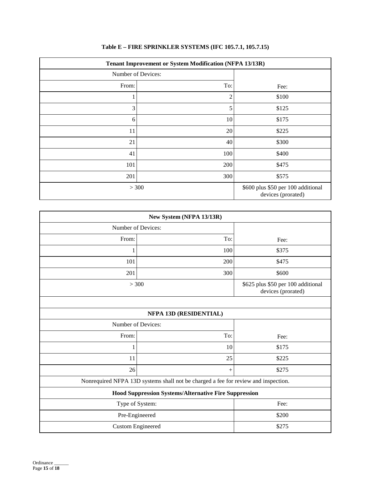| <b>Tenant Improvement or System Modification (NFPA 13/13R)</b> |                |                                                          |
|----------------------------------------------------------------|----------------|----------------------------------------------------------|
| Number of Devices:                                             |                |                                                          |
| From:                                                          | To:            | Fee:                                                     |
|                                                                | $\overline{c}$ | \$100                                                    |
| 3                                                              | 5              | \$125                                                    |
| 6                                                              | 10             | \$175                                                    |
| 11                                                             | 20             | \$225                                                    |
| 21                                                             | 40             | \$300                                                    |
| 41                                                             | 100            | \$400                                                    |
| 101                                                            | 200            | \$475                                                    |
| 201                                                            | 300            | \$575                                                    |
| > 300                                                          |                | \$600 plus \$50 per 100 additional<br>devices (prorated) |

# **Table E – FIRE SPRINKLER SYSTEMS (IFC 105.7.1, 105.7.15)**

| New System (NFPA 13/13R)                                                           |                        |       |
|------------------------------------------------------------------------------------|------------------------|-------|
| Number of Devices:                                                                 |                        |       |
| From:                                                                              | To:                    | Fee:  |
| 1                                                                                  | 100                    | \$375 |
| 101                                                                                | 200                    | \$475 |
| 201                                                                                | 300                    | \$600 |
|                                                                                    | > 300                  |       |
|                                                                                    |                        |       |
|                                                                                    | NFPA 13D (RESIDENTIAL) |       |
| Number of Devices:                                                                 |                        |       |
| From:                                                                              | To:                    | Fee:  |
| 1                                                                                  | 10                     | \$175 |
| 11                                                                                 | 25                     | \$225 |
| 26                                                                                 | $^{+}$                 | \$275 |
| Nonrequired NFPA 13D systems shall not be charged a fee for review and inspection. |                        |       |
| Hood Suppression Systems/Alternative Fire Suppression                              |                        |       |
| Type of System:                                                                    |                        | Fee:  |
| Pre-Engineered                                                                     |                        | \$200 |
| <b>Custom Engineered</b>                                                           |                        | \$275 |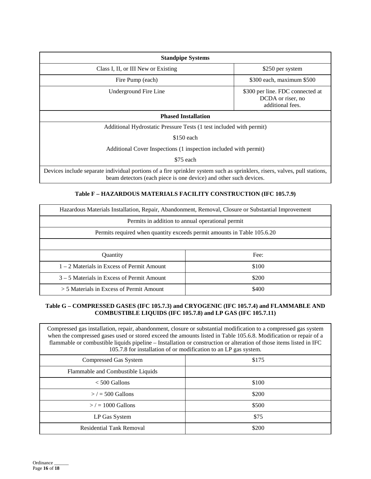| <b>Standpipe Systems</b>                                                                                                                                                                        |                                                                           |  |
|-------------------------------------------------------------------------------------------------------------------------------------------------------------------------------------------------|---------------------------------------------------------------------------|--|
| Class I, II, or III New or Existing                                                                                                                                                             | \$250 per system                                                          |  |
| Fire Pump (each)                                                                                                                                                                                | \$300 each, maximum \$500                                                 |  |
| Underground Fire Line                                                                                                                                                                           | \$300 per line. FDC connected at<br>DCDA or riser, no<br>additional fees. |  |
| <b>Phased Installation</b>                                                                                                                                                                      |                                                                           |  |
| Additional Hydrostatic Pressure Tests (1 test included with permit)                                                                                                                             |                                                                           |  |
| $$150$ each                                                                                                                                                                                     |                                                                           |  |
| Additional Cover Inspections (1 inspection included with permit)                                                                                                                                |                                                                           |  |
| \$75 each                                                                                                                                                                                       |                                                                           |  |
| Devices include separate individual portions of a fire sprinkler system such as sprinklers, risers, valves, pull stations,<br>beam detectors (each piece is one device) and other such devices. |                                                                           |  |

## **Table F – HAZARDOUS MATERIALS FACILITY CONSTRUCTION (IFC 105.7.9)**

| Hazardous Materials Installation, Repair, Abandonment, Removal, Closure or Substantial Improvement |       |  |
|----------------------------------------------------------------------------------------------------|-------|--|
| Permits in addition to annual operational permit                                                   |       |  |
| Permits required when quantity exceeds permit amounts in Table 105.6.20                            |       |  |
|                                                                                                    |       |  |
| Quantity                                                                                           | Fee:  |  |
| $1 - 2$ Materials in Excess of Permit Amount                                                       | \$100 |  |
| $3 - 5$ Materials in Excess of Permit Amount                                                       | \$200 |  |
| $>$ 5 Materials in Excess of Permit Amount                                                         | \$400 |  |

## **Table G – COMPRESSED GASES (IFC 105.7.3) and CRYOGENIC (IFC 105.7.4) and FLAMMABLE AND COMBUSTIBLE LIQUIDS (IFC 105.7.8) and LP GAS (IFC 105.7.11)**

| Compressed gas installation, repair, abandonment, closure or substantial modification to a compressed gas system<br>when the compressed gases used or stored exceed the amounts listed in Table 105.6.8. Modification or repair of a<br>flammable or combustible liquids pipeline – Installation or construction or alteration of those items listed in IFC<br>105.7.8 for installation of or modification to an LP gas system. |       |  |
|---------------------------------------------------------------------------------------------------------------------------------------------------------------------------------------------------------------------------------------------------------------------------------------------------------------------------------------------------------------------------------------------------------------------------------|-------|--|
| Compressed Gas System                                                                                                                                                                                                                                                                                                                                                                                                           | \$175 |  |
| Flammable and Combustible Liquids                                                                                                                                                                                                                                                                                                                                                                                               |       |  |
| $< 500$ Gallons                                                                                                                                                                                                                                                                                                                                                                                                                 | \$100 |  |
| $>$ / = 500 Gallons                                                                                                                                                                                                                                                                                                                                                                                                             | \$200 |  |
| $\ge$ / = 1000 Gallons                                                                                                                                                                                                                                                                                                                                                                                                          | \$500 |  |
| LP Gas System                                                                                                                                                                                                                                                                                                                                                                                                                   | \$75  |  |
| <b>Residential Tank Removal</b>                                                                                                                                                                                                                                                                                                                                                                                                 | \$200 |  |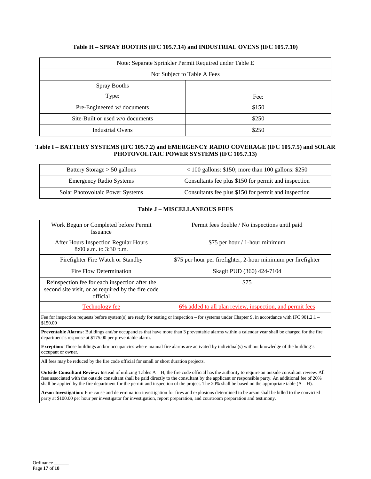## **Table H – SPRAY BOOTHS (IFC 105.7.14) and INDUSTRIAL OVENS (IFC 105.7.10)**

| Note: Separate Sprinkler Permit Required under Table E |       |  |
|--------------------------------------------------------|-------|--|
| Not Subject to Table A Fees                            |       |  |
| <b>Spray Booths</b>                                    |       |  |
| Type:                                                  | Fee:  |  |
| Pre-Engineered w/documents                             | \$150 |  |
| Site-Built or used w/o documents                       | \$250 |  |
| <b>Industrial Ovens</b>                                | \$250 |  |

## **Table I – BATTERY SYSTEMS (IFC 105.7.2) and EMERGENCY RADIO COVERAGE (IFC 105.7.5) and SOLAR PHOTOVOLTAIC POWER SYSTEMS (IFC 105.7.13)**

| Battery Storage $> 50$ gallons   | $100$ gallons: \$150; more than 100 gallons: \$250   |
|----------------------------------|------------------------------------------------------|
| <b>Emergency Radio Systems</b>   | Consultants fee plus \$150 for permit and inspection |
| Solar Photovoltaic Power Systems | Consultants fee plus \$150 for permit and inspection |

## **Table J – MISCELLANEOUS FEES**

| Work Begun or Completed before Permit<br>Issuance                                                                                                                                                                 | Permit fees double / No inspections until paid                  |
|-------------------------------------------------------------------------------------------------------------------------------------------------------------------------------------------------------------------|-----------------------------------------------------------------|
| After Hours Inspection Regular Hours<br>8:00 a.m. to 3:30 p.m.                                                                                                                                                    | \$75 per hour / 1-hour minimum                                  |
| Firefighter Fire Watch or Standby                                                                                                                                                                                 | \$75 per hour per firefighter, 2-hour minimum per firefighter   |
| Fire Flow Determination                                                                                                                                                                                           | Skagit PUD (360) 424-7104                                       |
| Reinspection fee for each inspection after the<br>second site visit, or as required by the fire code<br>official                                                                                                  | \$75                                                            |
| <b>Technology fee</b>                                                                                                                                                                                             | <u>6% added to all plan review, inspection, and permit fees</u> |
| Fee for inspection requests before system(s) are ready for testing or inspection – for systems under Chapter 9, in accordance with IFC 901.2.1 –<br>\$150.00                                                      |                                                                 |
| <b>Preventable Alarms:</b> Buildings and/or occupancies that have more than 3 preventable alarms within a calendar year shall be charged for the fire<br>department's response at \$175.00 per preventable alarm. |                                                                 |
| <b>Exception:</b> Those buildings and/or occupancies where manual fire alarms are activated by individual(s) without knowledge of the building's<br>occupant or owner.                                            |                                                                 |
| All fees may be reduced by the fire code official for small or short duration projects.                                                                                                                           |                                                                 |
| <b>Outside Consultant Devicer:</b> Instead of utilizing Tebles A H the fire eagle official has the euthority to require an outside consultant review All                                                          |                                                                 |

**Outside Consultant Review:** Instead of utilizing Tables A – H, the fire code official has the authority to require an outside consultant review. All fees associated with the outside consultant shall be paid directly to the consultant by the applicant or responsible party. An additional fee of 20% shall be applied by the fire department for the permit and inspection of the project. The 20% shall be based on the appropriate table  $(A - H)$ .

**Arson Investigation:** Fire cause and determination investigation for fires and explosions determined to be arson shall be billed to the convicted party at \$100.00 per hour per investigator for investigation, report preparation, and courtroom preparation and testimony.